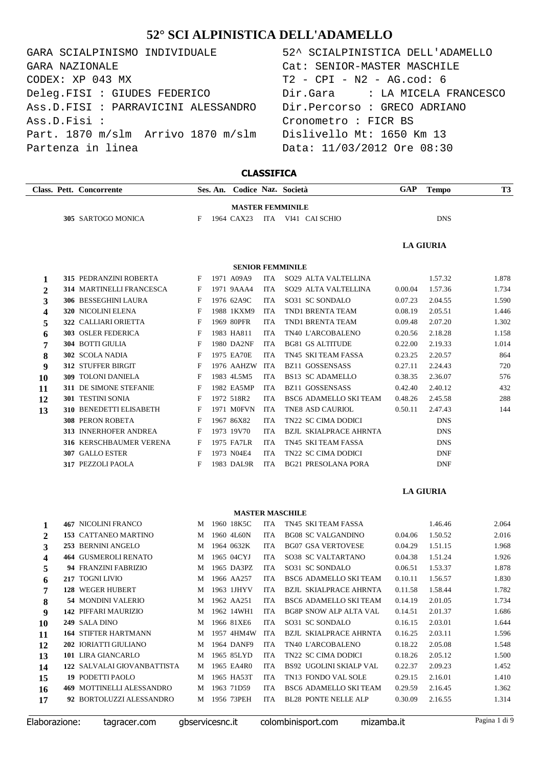| GARA SCIALPINISMO INDIVIDUALE                                | 52^ SCIALPINISTICA DELL'ADAMELLO |
|--------------------------------------------------------------|----------------------------------|
| GARA NAZIONALE                                               | Cat: SENIOR-MASTER MASCHILE      |
| CODEX: XP 043 MX                                             | $T2 - CPI - N2 - AG.cod: 6$      |
| Deleg.FISI : GIUDES FEDERICO                                 | Dir.Gara : LA MICELA FRANCESCO   |
| Ass.D.FISI : PARRAVICINI ALESSANDRO                          | Dir.Percorso : GRECO ADRIANO     |
| Ass.D.Fisi :                                                 | Cronometro : FICR BS             |
| Part. 1870 m/slm Arrivo 1870 m/slm Dislivello Mt: 1650 Km 13 |                                  |
| Partenza in linea                                            | Data: 11/03/2012 Ore 08:30       |

| 52^ SCIALPINISTICA DELL'ADAMELLO |
|----------------------------------|
| Cat: SENIOR-MASTER MASCHILE      |
| T2 - CPI - N2 - AG.cod: 6        |
|                                  |
| Dir.Percorso : GRECO ADRIANO     |
| Cronometro : FICR BS             |
| Dislivello Mt: 1650 Km 13        |
| Data: 11/03/2012 Ore 08:30       |

## **CLASSIFICA**

|                |                         | Class. Pett. Concorrente        |              | Ses. An. |              |            | Codice Naz. Società           | <b>GAP</b> | <b>Tempo</b>     | T <sub>3</sub> |  |
|----------------|-------------------------|---------------------------------|--------------|----------|--------------|------------|-------------------------------|------------|------------------|----------------|--|
|                | <b>MASTER FEMMINILE</b> |                                 |              |          |              |            |                               |            |                  |                |  |
|                |                         | 305 SARTOGO MONICA              | F            |          | 1964 CAX23   |            | ITA VI41 CAI SCHIO            |            | <b>DNS</b>       |                |  |
|                |                         |                                 |              |          |              |            |                               |            | <b>LA GIURIA</b> |                |  |
|                |                         |                                 |              |          |              |            | <b>SENIOR FEMMINILE</b>       |            |                  |                |  |
| 1              |                         | 315 PEDRANZINI ROBERTA          | F            |          | 1971 A09A9   | <b>ITA</b> | SO29 ALTA VALTELLINA          |            | 1.57.32          | 1.878          |  |
| $\mathbf{2}$   |                         | <b>314 MARTINELLI FRANCESCA</b> | F            |          | 1971 9AAA4   | <b>ITA</b> | SO29 ALTA VALTELLINA          | 0.00.04    | 1.57.36          | 1.734          |  |
| 3              |                         | 306 BESSEGHINI LAURA            | $\mathbf{F}$ |          | 1976 62A9C   | <b>ITA</b> | SO31 SC SONDALO               | 0.07.23    | 2.04.55          | 1.590          |  |
| 4              |                         | 320 NICOLINI ELENA              | F            |          | 1988 1KXM9   | <b>ITA</b> | TND1 BRENTA TEAM              | 0.08.19    | 2.05.51          | 1.446          |  |
| 5              |                         | 322 CALLIARI ORIETTA            | F            |          | 1969 80PFR   | <b>ITA</b> | TND1 BRENTA TEAM              | 0.09.48    | 2.07.20          | 1.302          |  |
| 6              |                         | 303 OSLER FEDERICA              | F            |          | 1983 HA811   | <b>ITA</b> | TN40 L'ARCOBALENO             | 0.20.56    | 2.18.28          | 1.158          |  |
| 7              |                         | 304 BOTTI GIULIA                | F            |          | 1980 DA2NF   | <b>ITA</b> | <b>BG81 GS ALTITUDE</b>       | 0.22.00    | 2.19.33          | 1.014          |  |
| 8              |                         | 302 SCOLA NADIA                 | F            |          | 1975 EA70E   | <b>ITA</b> | TN45 SKI TEAM FASSA           | 0.23.25    | 2.20.57          | 864            |  |
| 9              |                         | 312 STUFFER BIRGIT              | F            |          | 1976 AAHZW   | <b>ITA</b> | <b>BZ11 GOSSENSASS</b>        | 0.27.11    | 2.24.43          | 720            |  |
| 10             |                         | 309 TOLONI DANIELA              | F            |          | 1983 4L5M5   | <b>ITA</b> | <b>BS13 SC ADAMELLO</b>       | 0.38.35    | 2.36.07          | 576            |  |
| 11             |                         | 311 DE SIMONE STEFANIE          | F            |          | 1982 EA5MP   | <b>ITA</b> | <b>BZ11 GOSSENSASS</b>        | 0.42.40    | 2.40.12          | 432            |  |
| 12             |                         | 301 TESTINI SONIA               | F            |          | 1972 518R2   | <b>ITA</b> | <b>BSC6 ADAMELLO SKI TEAM</b> | 0.48.26    | 2.45.58          | 288            |  |
| 13             |                         | 310 BENEDETTI ELISABETH         | F            |          | 1971 M0FVN   | <b>ITA</b> | <b>TNE8 ASD CAURIOL</b>       | 0.50.11    | 2.47.43          | 144            |  |
|                |                         | <b>308 PERON ROBETA</b>         | $\mathbf{F}$ |          | 1967 86X82   | <b>ITA</b> | TN22 SC CIMA DODICI           |            | <b>DNS</b>       |                |  |
|                |                         | 313 INNERHOFER ANDREA           | F            |          | 1973 19V70   | <b>ITA</b> | <b>BZJL SKIALPRACE AHRNTA</b> |            | <b>DNS</b>       |                |  |
|                |                         | 316 KERSCHBAUMER VERENA         | F            |          | 1975 FA7LR   | <b>ITA</b> | TN45 SKI TEAM FASSA           |            | <b>DNS</b>       |                |  |
|                |                         | 307 GALLO ESTER                 | F            |          | 1973 N04E4   | <b>ITA</b> | TN22 SC CIMA DODICI           |            | <b>DNF</b>       |                |  |
|                |                         | 317 PEZZOLI PAOLA               | F            |          | 1983 DAL9R   | <b>ITA</b> | <b>BG21 PRESOLANA PORA</b>    |            | <b>DNF</b>       |                |  |
|                | <b>LA GIURIA</b>        |                                 |              |          |              |            |                               |            |                  |                |  |
|                |                         |                                 |              |          |              |            | <b>MASTER MASCHILE</b>        |            |                  |                |  |
| 1              |                         | <b>467 NICOLINI FRANCO</b>      | M            |          | 1960 18K5C   | <b>ITA</b> | TN45 SKI TEAM FASSA           |            | 1.46.46          | 2.064          |  |
| $\overline{2}$ |                         | <b>153 CATTANEO MARTINO</b>     |              |          | M 1960 4L60N | <b>ITA</b> | <b>BG08 SC VALGANDINO</b>     | 0.04.06    | 1.50.52          | 2.016          |  |

| $\mathbf{2}$ | 153 CATTANEO MARTINO        | M | 1960 4L60N | <b>ITA</b> | <b>BG08 SC VALGANDINO</b>     | 0.04.06 | 1.50.52 | 2.016 |
|--------------|-----------------------------|---|------------|------------|-------------------------------|---------|---------|-------|
| 3            | 253 BERNINI ANGELO          | M | 1964 0632K | <b>ITA</b> | <b>BG07 GSA VERTOVESE</b>     | 0.04.29 | 1.51.15 | 1.968 |
| 4            | <b>464 GUSMEROLI RENATO</b> | M | 1965 04CYJ | <b>ITA</b> | SO38 SC VALTARTANO            | 0.04.38 | 1.51.24 | 1.926 |
| 5            | <b>94 FRANZINI FABRIZIO</b> | M | 1965 DA3PZ | <b>ITA</b> | SO31 SC SONDALO               | 0.06.51 | 1.53.37 | 1.878 |
| 6            | 217 TOGNI LIVIO             | M | 1966 AA257 | <b>ITA</b> | <b>BSC6 ADAMELLO SKI TEAM</b> | 0.10.11 | 1.56.57 | 1.830 |
| 7            | 128 WEGER HUBERT            | M | 1963 1JHYV | <b>ITA</b> | <b>BZJL SKIALPRACE AHRNTA</b> | 0.11.58 | 1.58.44 | 1.782 |
| 8            | 54 MONDINI VALERIO          | M | 1962 AA251 | <b>ITA</b> | BSC6 ADAMELLO SKI TEAM        | 0.14.19 | 2.01.05 | 1.734 |
| 9            | <b>142 PIFFARI MAURIZIO</b> | M | 1962 14WH1 | <b>ITA</b> | <b>BG8P SNOW ALP ALTA VAL</b> | 0.14.51 | 2.01.37 | 1.686 |
| 10           | 249 SALA DINO               | M | 1966 81XE6 | ITA.       | SO31 SC SONDALO               | 0.16.15 | 2.03.01 | 1.644 |
| 11           | <b>164 STIFTER HARTMANN</b> | M | 1957 4HM4W | <b>ITA</b> | <b>BZJL SKIALPRACE AHRNTA</b> | 0.16.25 | 2.03.11 | 1.596 |
| 12           | 202 IORIATTI GIULIANO       | M | 1964 DANF9 | <b>ITA</b> | TN40 L'ARCOBALENO             | 0.18.22 | 2.05.08 | 1.548 |
| 13           | 101 LIRA GIANCARLO          | M | 1965 85LYD | ITA.       | TN22 SC CIMA DODICI           | 0.18.26 | 2.05.12 | 1.500 |
| 14           | 122 SALVALAI GIOVANBATTISTA | M | 1965 EA4R0 | <b>ITA</b> | BS92 UGOLINI SKIALP VAL       | 0.22.37 | 2.09.23 | 1.452 |
| 15           | 19 PODETTI PAOLO            | M | 1965 HA53T | <b>ITA</b> | TN13 FONDO VAL SOLE           | 0.29.15 | 2.16.01 | 1.410 |
| 16           | 469 MOTTINELLI ALESSANDRO   | M | 1963 71D59 | ITA.       | <b>BSC6 ADAMELLO SKI TEAM</b> | 0.29.59 | 2.16.45 | 1.362 |
| 17           | 92 BORTOLUZZI ALESSANDRO    | M | 1956 73PEH | <b>ITA</b> | <b>BL28 PONTE NELLE ALP</b>   | 0.30.09 | 2.16.55 | 1.314 |
|              |                             |   |            |            |                               |         |         |       |

|  |  |  | Elaborazione: |  |
|--|--|--|---------------|--|
|  |  |  |               |  |

Elaborazione: tagracer.com gbservicesnc.it colombinisport.com mizamba.it Pagina 1 di 9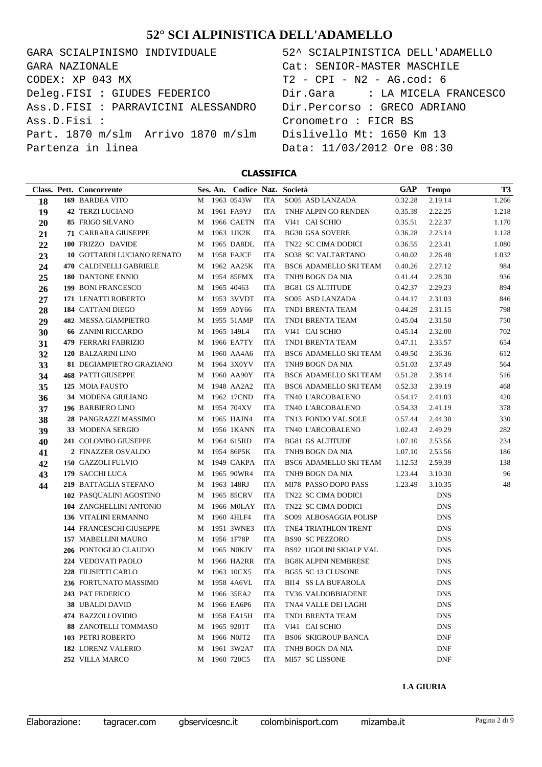GARA SCIALPINISMO INDIVIDUALE CODEX: XP 043 MX Deleg.FISI : GIUDES FEDERICO Ass.D.FISI : PARRAVICINI ALESSANDRO Ass.D.Fisi : Part. 1870 m/slm Arrivo 1870 m/slm Partenza in linea GARA NAZIONALE

| 52^ SCIALPINISTICA DELL'ADAMELLO |
|----------------------------------|
| Cat: SENIOR-MASTER MASCHILE      |
| T2 - CPI - N2 - AG.cod: 6        |
|                                  |
| Dir.Percorso : GRECO ADRIANO     |
| Cronometro : FICR BS             |
| Dislivello Mt: 1650 Km 13        |
| Data: 11/03/2012 Ore 08:30       |
|                                  |

#### **CLASSIFICA**

|    | Class. Pett. Concorrente    |   | Ses. An. Codice Naz. Società |            |                               | GAP     | <b>Tempo</b> | T <sub>3</sub> |
|----|-----------------------------|---|------------------------------|------------|-------------------------------|---------|--------------|----------------|
| 18 | 169 BARDEA VITO             | M | 1963 0543W                   | <b>ITA</b> | SO05 ASD LANZADA              | 0.32.28 | 2.19.14      | 1.266          |
| 19 | <b>42 TERZI LUCIANO</b>     | M | 1961 FA9YJ                   | <b>ITA</b> | TNHF ALPIN GO RENDEN          | 0.35.39 | 2.22.25      | 1.218          |
| 20 | 85 FRIGO SILVANO            | M | <b>1966 CAETN</b>            | <b>ITA</b> | VI41 CAI SCHIO                | 0.35.51 | 2.22.37      | 1.170          |
| 21 | <b>71 CARRARA GIUSEPPE</b>  | M | 1963 1JK2K                   | <b>ITA</b> | <b>BG30 GSA SOVERE</b>        | 0.36.28 | 2.23.14      | 1.128          |
| 22 | 100 FRIZZO DAVIDE           | M | 1965 DA8DL                   | <b>ITA</b> | TN22 SC CIMA DODICI           | 0.36.55 | 2.23.41      | 1.080          |
| 23 | 10 GOTTARDI LUCIANO RENATO  | M | 1958 FAJCF                   | <b>ITA</b> | SO38 SC VALTARTANO            | 0.40.02 | 2.26.48      | 1.032          |
| 24 | 470 CALDINELLI GABRIELE     | M | 1962 AA25K                   | <b>ITA</b> | BSC6 ADAMELLO SKI TEAM        | 0.40.26 | 2.27.12      | 984            |
| 25 | 180 DANTONE ENNIO           | M | 1954 85FMX                   | <b>ITA</b> | TNH9 BOGN DA NIA              | 0.41.44 | 2.28.30      | 936            |
| 26 | 199 BONI FRANCESCO          | M | 1965 40463                   | <b>ITA</b> | <b>BG81 GS ALTITUDE</b>       | 0.42.37 | 2.29.23      | 894            |
| 27 | 171 LENATTI ROBERTO         | M | 1953 3VVDT                   | <b>ITA</b> | SO05 ASD LANZADA              | 0.44.17 | 2.31.03      | 846            |
| 28 | 184 CATTANI DIEGO           | M | 1959 A0Y66                   | <b>ITA</b> | TND1 BRENTA TEAM              | 0.44.29 | 2.31.15      | 798            |
| 29 | <b>482 MESSA GIAMPIETRO</b> | M | 1955 51AMP                   | <b>ITA</b> | TND1 BRENTA TEAM              | 0.45.04 | 2.31.50      | 750            |
| 30 | <b>66 ZANINI RICCARDO</b>   | M | 1965 149L4                   | <b>ITA</b> | VI41 CAI SCHIO                | 0.45.14 | 2.32.00      | 702            |
| 31 | 479 FERRARI FABRIZIO        | M | 1966 EA7TY                   | <b>ITA</b> | TND1 BRENTA TEAM              | 0.47.11 | 2.33.57      | 654            |
| 32 | 120 BALZARINI LINO          | M | 1960 AA4A6                   | <b>ITA</b> | BSC6 ADAMELLO SKI TEAM        | 0.49.50 | 2.36.36      | 612            |
| 33 | 81 DEGIAMPIETRO GRAZIANO    | M | 1964 3X0YV                   | <b>ITA</b> | TNH9 BOGN DA NIA              | 0.51.03 | 2.37.49      | 564            |
| 34 | <b>468 PATTI GIUSEPPE</b>   | M | 1960 AA90Y                   | <b>ITA</b> | <b>BSC6 ADAMELLO SKI TEAM</b> | 0.51.28 | 2.38.14      | 516            |
| 35 | 125 MOIA FAUSTO             | M | 1948 AA2A2                   | <b>ITA</b> | BSC6 ADAMELLO SKI TEAM        | 0.52.33 | 2.39.19      | 468            |
| 36 | 34 MODENA GIULIANO          | M | 1962 17CND                   | <b>ITA</b> | TN40 L'ARCOBALENO             | 0.54.17 | 2.41.03      | 420            |
| 37 | 196 BARBIERO LINO           | M | 1954 704XV                   | <b>ITA</b> | TN40 L'ARCOBALENO             | 0.54.33 | 2.41.19      | 378            |
| 38 | 28 PANGRAZZI MASSIMO        | M | 1965 HAJN4                   | <b>ITA</b> | TN13 FONDO VAL SOLE           | 0.57.44 | 2.44.30      | 330            |
| 39 | 33 MODENA SERGIO            | M | 1956 1KANN                   | <b>ITA</b> | TN40 L'ARCOBALENO             | 1.02.43 | 2.49.29      | 282            |
| 40 | 241 COLOMBO GIUSEPPE        | M | 1964 615RD                   | <b>ITA</b> | <b>BG81 GS ALTITUDE</b>       | 1.07.10 | 2.53.56      | 234            |
| 41 | 2 FINAZZER OSVALDO          | M | 1954 86P5K                   | <b>ITA</b> | TNH9 BOGN DA NIA              | 1.07.10 | 2.53.56      | 186            |
| 42 | 150 GAZZOLI FULVIO          | M | 1949 CAKPA                   | <b>ITA</b> | BSC6 ADAMELLO SKI TEAM        | 1.12.53 | 2.59.39      | 138            |
| 43 | 179 SACCHI LUCA             | M | 1965 90WR4                   | <b>ITA</b> | TNH9 BOGN DA NIA              | 1.23.44 | 3.10.30      | 96             |
| 44 | 219 BATTAGLIA STEFANO       | M | 1963 148RJ                   | <b>ITA</b> | MI78 PASSO DOPO PASS          | 1.23.49 | 3.10.35      | 48             |
|    | 102 PASQUALINI AGOSTINO     | M | 1965 85CRV                   | <b>ITA</b> | TN22 SC CIMA DODICI           |         | <b>DNS</b>   |                |
|    | 104 ZANGHELLINI ANTONIO     | M | 1966 M0LAY                   | <b>ITA</b> | TN22 SC CIMA DODICI           |         | <b>DNS</b>   |                |
|    | <b>136 VITALINI ERMANNO</b> | M | 1960 4HLF4                   | <b>ITA</b> | SO09 ALBOSAGGIA POLISP        |         | <b>DNS</b>   |                |
|    | 144 FRANCESCHI GIUSEPPE     | M | 1951 3WNE3                   | <b>ITA</b> | TNE4 TRIATHLON TRENT          |         | <b>DNS</b>   |                |
|    | 157 MABELLINI MAURO         | M | 1956 1F78P                   | <b>ITA</b> | <b>BS90 SC PEZZORO</b>        |         | <b>DNS</b>   |                |
|    | 206 PONTOGLIO CLAUDIO       | M | 1965 NOKJV                   | <b>ITA</b> | BS92 UGOLINI SKIALP VAL       |         | <b>DNS</b>   |                |
|    | 224 VEDOVATI PAOLO          | M | 1966 HA2RR                   | <b>ITA</b> | <b>BG8K ALPINI NEMBRESE</b>   |         | <b>DNS</b>   |                |
|    | 228 FILISETTI CARLO         | M | 1963 10CX5                   | <b>ITA</b> | BG55 SC 13 CLUSONE            |         | <b>DNS</b>   |                |
|    | 236 FORTUNATO MASSIMO       |   | M 1958 4A6VL                 | <b>ITA</b> | <b>BI14 SS LA BUFAROLA</b>    |         | <b>DNS</b>   |                |
|    | 243 PAT FEDERICO            | M | 1966 35EA2                   | ITA        | TV36 VALDOBBIADENE            |         | DNS          |                |
|    | 38 UBALDI DAVID             | M | 1966 EA6P6                   | ITA        | TNA4 VALLE DEI LAGHI          |         | <b>DNS</b>   |                |
|    | 474 BAZZOLI OVIDIO          | M | 1958 EA15H                   | <b>ITA</b> | TND1 BRENTA TEAM              |         | <b>DNS</b>   |                |
|    | <b>88 ZANOTELLI TOMMASO</b> | M | 1965 9201T                   | <b>ITA</b> | VI41 CAI SCHIO                |         | <b>DNS</b>   |                |
|    | 103 PETRI ROBERTO           | M | 1966 NOJT2                   | <b>ITA</b> | <b>BS06 SKIGROUP BANCA</b>    |         | <b>DNF</b>   |                |
|    | 182 LORENZ VALERIO          | M | 1961 3W2A7                   | <b>ITA</b> | TNH9 BOGN DA NIA              |         | <b>DNF</b>   |                |
|    | 252 VILLA MARCO             | M | 1960 720C5                   | <b>ITA</b> | MI57 SC LISSONE               |         | <b>DNF</b>   |                |

#### **LA GIURIA**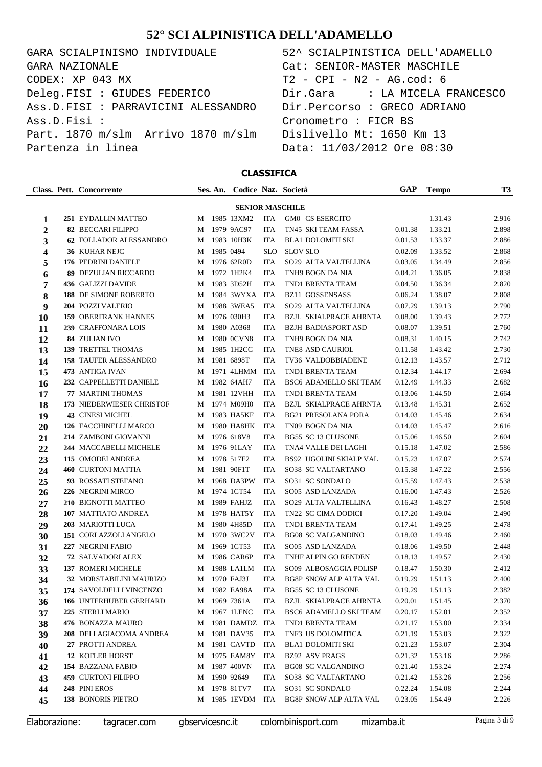GARA SCIALPINISMO INDIVIDUALE 52^ SCIALPINISTICA DELL'ADAMELLO CODEX: XP 043 MX T2 - CPI - N2 - AG.cod: 6 Deleg.FISI : GIUDES FEDERICO Dir.Gara : LA MICELA FRANCESCO Ass.D.FISI : PARRAVICINI ALESSANDRO Dir.Percorso : GRECO ADRIANO Ass.D.Fisi : Cronometro : FICR BS Part. 1870 m/slm Arrivo 1870 m/slm Dislivello Mt: 1650 Km 13 Partenza in linea  $Data: 11/03/2012$  Ore 08:30 GARA NAZIONALE Cat: SENIOR-MASTER MASCHILE

### **CLASSIFICA**

|                        |  | Class. Pett. Concorrente                    |        | Ses. An.  | Codice Naz. Società      |                          |                                                 | <b>GAP</b>         | <b>Tempo</b>       | T3             |
|------------------------|--|---------------------------------------------|--------|-----------|--------------------------|--------------------------|-------------------------------------------------|--------------------|--------------------|----------------|
| <b>SENIOR MASCHILE</b> |  |                                             |        |           |                          |                          |                                                 |                    |                    |                |
| 1                      |  | 251 EYDALLIN MATTEO                         | M      |           | 1985 13XM2               | ITA                      | GM0 CS ESERCITO                                 |                    | 1.31.43            | 2.916          |
| 2                      |  | <b>82 BECCARI FILIPPO</b>                   | M      |           | 1979 9AC97               | <b>ITA</b>               | TN45 SKI TEAM FASSA                             | 0.01.38            | 1.33.21            | 2.898          |
| 3                      |  | 62 FOLLADOR ALESSANDRO                      | M      |           | 1983 10H3K               | <b>ITA</b>               | <b>BLA1 DOLOMITI SKI</b>                        | 0.01.53            | 1.33.37            | 2.886          |
| 4                      |  | 36 KUHAR NEJC                               | M      | 1985 0494 |                          | <b>SLO</b>               | <b>SLOV SLO</b>                                 | 0.02.09            | 1.33.52            | 2.868          |
| 5                      |  | 176 PEDRINI DANIELE                         | M      |           | 1976 62R0D               | <b>ITA</b>               | SO29 ALTA VALTELLINA                            | 0.03.05            | 1.34.49            | 2.856          |
| 6                      |  | <b>89 DEZULIAN RICCARDO</b>                 | M      |           | 1972 1H2K4               | <b>ITA</b>               | TNH9 BOGN DA NIA                                | 0.04.21            | 1.36.05            | 2.838          |
| 7                      |  | 436 GALIZZI DAVIDE                          | M      |           | 1983 3D52H               | <b>ITA</b>               | TND1 BRENTA TEAM                                | 0.04.50            | 1.36.34            | 2.820          |
| 8                      |  | 188 DE SIMONE ROBERTO                       | M      |           | 1984 3WYXA               | ITA                      | <b>BZ11 GOSSENSASS</b>                          | 0.06.24            | 1.38.07            | 2.808          |
| 9                      |  | 204 POZZI VALERIO                           | M      |           | 1988 3WEA5               | <b>ITA</b>               | SO29 ALTA VALTELLINA                            | 0.07.29            | 1.39.13            | 2.790          |
| 10                     |  | <b>159 OBERFRANK HANNES</b>                 | M      |           | 1976 030H3               | <b>ITA</b>               | <b>BZJL SKIALPRACE AHRNTA</b>                   | 0.08.00            | 1.39.43            | 2.772          |
| 11                     |  | 239 CRAFFONARA LOIS                         | M      |           | 1980 A0368               | <b>ITA</b>               | <b>BZJH BADIASPORT ASD</b>                      | 0.08.07            | 1.39.51            | 2.760          |
| 12                     |  | 84 ZULIAN IVO                               | M      |           | 1980 OCVN8               | <b>ITA</b>               | TNH9 BOGN DA NIA                                | 0.08.31            | 1.40.15            | 2.742          |
| 13                     |  | <b>139 TRETTEL THOMAS</b>                   | M      |           | 1985 1H2CC               | <b>ITA</b>               | TNE8 ASD CAURIOL                                | 0.11.58            | 1.43.42            | 2.730          |
| 14                     |  | <b>158 TAUFER ALESSANDRO</b>                | M      |           | 1981 6898T               | <b>ITA</b>               | TV36 VALDOBBIADENE                              | 0.12.13            | 1.43.57            | 2.712          |
| 15                     |  | 473 ANTIGA IVAN                             | M      |           | 1971 4LHMM               | ITA                      | TND1 BRENTA TEAM                                | 0.12.34            | 1.44.17            | 2.694          |
| 16                     |  | 232 CAPPELLETTI DANIELE                     | M      |           | 1982 64AH7               | <b>ITA</b>               | BSC6 ADAMELLO SKI TEAM                          | 0.12.49            | 1.44.33            | 2.682          |
| 17                     |  | 77 MARTINI THOMAS                           | M      |           | 1981 12VHH               | <b>ITA</b>               | TND1 BRENTA TEAM                                | 0.13.06            | 1.44.50            | 2.664          |
| 18                     |  | 173 NIEDERWIESER CHRISTOF                   | M      |           | 1974 M09H0               | <b>ITA</b>               | <b>BZJL SKIALPRACE AHRNTA</b>                   | 0.13.48            | 1.45.31            | 2.652          |
| 19                     |  | <b>43 CINESI MICHEL</b>                     | M      |           | 1983 HA5KF               | <b>ITA</b>               | <b>BG21 PRESOLANA PORA</b>                      | 0.14.03            | 1.45.46            | 2.634          |
| 20                     |  | 126 FACCHINELLI MARCO                       | M      |           | 1980 HA8HK<br>1976 618V8 | ITA                      | TN09 BOGN DA NIA<br><b>BG55 SC 13 CLUSONE</b>   | 0.14.03            | 1.45.47            | 2.616          |
| 21                     |  | 214 ZAMBONI GIOVANNI                        | M      |           |                          | <b>ITA</b><br><b>ITA</b> |                                                 | 0.15.06            | 1.46.50            | 2.604          |
| 22                     |  | 244 MACCABELLI MICHELE<br>115 OMODEI ANDREA | M<br>M |           | 1976 91LAY<br>1978 517E2 | <b>ITA</b>               | TNA4 VALLE DEI LAGHI<br>BS92 UGOLINI SKIALP VAL | 0.15.18<br>0.15.23 | 1.47.02<br>1.47.07 | 2.586<br>2.574 |
| 23                     |  | <b>460 CURTONI MATTIA</b>                   | M      |           | 1981 90F1T               | <b>ITA</b>               | SO38 SC VALTARTANO                              | 0.15.38            | 1.47.22            | 2.556          |
| 24<br>25               |  | 93 ROSSATI STEFANO                          | M      |           | 1968 DA3PW               | ITA                      | SO31 SC SONDALO                                 | 0.15.59            | 1.47.43            | 2.538          |
| 26                     |  | 226 NEGRINI MIRCO                           | M      |           | 1974 1CT54               | <b>ITA</b>               | SO05 ASD LANZADA                                | 0.16.00            | 1.47.43            | 2.526          |
| 27                     |  | 210 BIGNOTTI MATTEO                         | M      |           | 1989 FAHJZ               | <b>ITA</b>               | SO29 ALTA VALTELLINA                            | 0.16.43            | 1.48.27            | 2.508          |
| 28                     |  | 107 MATTIATO ANDREA                         | M      |           | 1978 HAT5Y               | <b>ITA</b>               | TN22 SC CIMA DODICI                             | 0.17.20            | 1.49.04            | 2.490          |
| 29                     |  | 203 MARIOTTI LUCA                           | M      |           | 1980 4H85D               | <b>ITA</b>               | TND1 BRENTA TEAM                                | 0.17.41            | 1.49.25            | 2.478          |
| 30                     |  | 151 CORLAZZOLI ANGELO                       | M      |           | 1970 3WC2V               | ITA                      | <b>BG08 SC VALGANDINO</b>                       | 0.18.03            | 1.49.46            | 2.460          |
| 31                     |  | 227 NEGRINI FABIO                           | M      |           | 1969 1CT53               | <b>ITA</b>               | SO05 ASD LANZADA                                | 0.18.06            | 1.49.50            | 2.448          |
| 32                     |  | 72 SALVADORI ALEX                           | M      |           | 1986 CAR6P               | <b>ITA</b>               | TNHF ALPIN GO RENDEN                            | 0.18.13            | 1.49.57            | 2.430          |
| 33                     |  | 137 ROMERI MICHELE                          | M      |           | 1988 LA1LM               | ITA                      | SO09 ALBOSAGGIA POLISP                          | 0.18.47            | 1.50.30            | 2.412          |
| 34                     |  | 32 MORSTABILINI MAURIZO                     |        |           | M 1970 FAJ3J             | <b>ITA</b>               | BG8P SNOW ALP ALTA VAL                          | 0.19.29            | 1.51.13            | 2.400          |
| 35                     |  | 174 SAVOLDELLI VINCENZO                     |        |           | M 1982 EA98A             | ITA                      | <b>BG55 SC 13 CLUSONE</b>                       | 0.19.29            | 1.51.13            | 2.382          |
| 36                     |  | <b>166 UNTERHUBER GERHARD</b>               |        |           | M 1969 7361A             | ITA                      | BZJL SKIALPRACE AHRNTA                          | 0.20.01            | 1.51.45            | 2.370          |
| 37                     |  | 225 STERLI MARIO                            |        |           | M 1967 1LENC             | ITA                      | BSC6 ADAMELLO SKI TEAM                          | 0.20.17            | 1.52.01            | 2.352          |
| 38                     |  | 476 BONAZZA MAURO                           |        |           | M 1981 DAMDZ ITA         |                          | TND1 BRENTA TEAM                                | 0.21.17            | 1.53.00            | 2.334          |
| 39                     |  | 208 DELLAGIACOMA ANDREA                     |        |           | M 1981 DAV35             | ITA                      | TNF3 US DOLOMITICA                              | 0.21.19            | 1.53.03            | 2.322          |
| 40                     |  | 27 PROTTI ANDREA                            |        |           | M 1981 CAVTD             | ITA                      | <b>BLA1 DOLOMITI SKI</b>                        | 0.21.23            | 1.53.07            | 2.304          |
| 41                     |  | 12 KOFLER HORST                             |        |           | M 1975 EAM8Y             | ITA                      | <b>BZ92 ASV PRAGS</b>                           | 0.21.32            | 1.53.16            | 2.286          |
| 42                     |  | 154 BAZZANA FABIO                           |        |           | M 1987 400VN             | ITA                      | <b>BG08 SC VALGANDINO</b>                       | 0.21.40            | 1.53.24            | 2.274          |
| 43                     |  | <b>459 CURTONI FILIPPO</b>                  | M      |           | 1990 92649               | ITA                      | SO38 SC VALTARTANO                              | 0.21.42            | 1.53.26            | 2.256          |
| 44                     |  | 248 PINI EROS                               |        |           | M 1978 81TV7             | ITA                      | SO31 SC SONDALO                                 | 0.22.24            | 1.54.08            | 2.244          |
| 45                     |  | 138 BONORIS PIETRO                          |        |           | M 1985 1EVDM ITA         |                          | BG8P SNOW ALP ALTA VAL                          | 0.23.05            | 1.54.49            | 2.226          |
|                        |  |                                             |        |           |                          |                          |                                                 |                    |                    |                |

Elaborazione: tagracer.com gbservicesnc.it colombinisport.com mizamba.it Pagina 3 di 9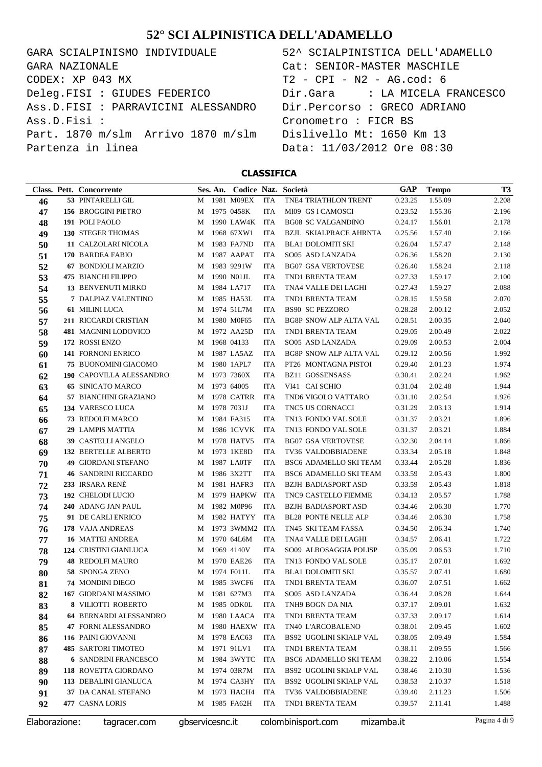GARA SCIALPINISMO INDIVIDUALE CODEX: XP 043 MX Deleg.FISI : GIUDES FEDERICO Ass.D.FISI : PARRAVICINI ALESSANDRO Ass.D.Fisi : Part. 1870 m/slm Arrivo 1870 m/slm Partenza in linea GARA NAZIONALE

| 52^ SCIALPINISTICA DELL'ADAMELLO |
|----------------------------------|
| Cat: SENIOR-MASTER MASCHILE      |
| T2 - CPI - N2 - AG.cod: 6        |
|                                  |
| Dir.Percorso : GRECO ADRIANO     |
| Cronometro : FICR BS             |
| Dislivello Mt: 1650 Km 13        |
| Data: 11/03/2012 Ore 08:30       |
|                                  |

|               | Class. Pett. Concorrente    |                 | Ses. An. Codice Naz. Società |            |                                | GAP        | <b>Tempo</b> | <b>T3</b>     |
|---------------|-----------------------------|-----------------|------------------------------|------------|--------------------------------|------------|--------------|---------------|
| 46            | 53 PINTARELLI GIL           | M               | 1981 M09EX                   | <b>ITA</b> | <b>TNE4 TRIATHLON TRENT</b>    | 0.23.25    | 1.55.09      | 2.208         |
| 47            | 156 BROGGINI PIETRO         | M               | 1975 0458K                   | <b>ITA</b> | MI09 GS I CAMOSCI              | 0.23.52    | 1.55.36      | 2.196         |
| 48            | 191 POLI PAOLO              | M               | 1990 LAW4K                   | ITA        | <b>BG08 SC VALGANDINO</b>      | 0.24.17    | 1.56.01      | 2.178         |
| 49            | <b>130 STEGER THOMAS</b>    | M               | 1968 67XW1                   | <b>ITA</b> | <b>BZJL SKIALPRACE AHRNTA</b>  | 0.25.56    | 1.57.40      | 2.166         |
| 50            | 11 CALZOLARI NICOLA         | M               | 1983 FA7ND                   | <b>ITA</b> | <b>BLA1 DOLOMITI SKI</b>       | 0.26.04    | 1.57.47      | 2.148         |
| 51            | 170 BARDEA FABIO            | M               | 1987 AAPAT                   | <b>ITA</b> | SO05 ASD LANZADA               | 0.26.36    | 1.58.20      | 2.130         |
| 52            | 67 BONDIOLI MARZIO          | M               | 1983 9291W                   | <b>ITA</b> | <b>BG07 GSA VERTOVESE</b>      | 0.26.40    | 1.58.24      | 2.118         |
| 53            | <b>475 BIANCHI FILIPPO</b>  | M               | 1990 N01JL                   | <b>ITA</b> | TND1 BRENTA TEAM               | 0.27.33    | 1.59.17      | 2.100         |
| 54            | <b>13 BENVENUTI MIRKO</b>   | M               | 1984 LA717                   | <b>ITA</b> | TNA4 VALLE DEI LAGHI           | 0.27.43    | 1.59.27      | 2.088         |
| 55            | 7 DALPIAZ VALENTINO         | M               | 1985 HA53L                   | <b>ITA</b> | TND1 BRENTA TEAM               | 0.28.15    | 1.59.58      | 2.070         |
| 56            | <b>61 MILINI LUCA</b>       | M               | 1974 51L7M                   | <b>ITA</b> | <b>BS90 SC PEZZORO</b>         | 0.28.28    | 2.00.12      | 2.052         |
| 57            | 211 RICCARDI CRISTIAN       | M               | 1980 M0F65                   | <b>ITA</b> | <b>BG8P SNOW ALP ALTA VAL</b>  | 0.28.51    | 2.00.35      | 2.040         |
| 58            | 481 MAGNINI LODOVICO        | M               | 1972 AA25D                   | <b>ITA</b> | TND1 BRENTA TEAM               | 0.29.05    | 2.00.49      | 2.022         |
| 59            | 172 ROSSI ENZO              | M               | 1968 04133                   | <b>ITA</b> | SO05 ASD LANZADA               | 0.29.09    | 2.00.53      | 2.004         |
| 60            | 141 FORNONI ENRICO          | M               | 1987 LA5AZ                   | <b>ITA</b> | <b>BG8P SNOW ALP ALTA VAL</b>  | 0.29.12    | 2.00.56      | 1.992         |
| 61            | <b>75 BUONOMINI GIACOMO</b> | M               | 1980 1APL7                   | <b>ITA</b> | PT26 MONTAGNA PISTOI           | 0.29.40    | 2.01.23      | 1.974         |
| 62            | 190 CAPOVILLA ALESSANDRO    | M               | 1973 7360X                   | <b>ITA</b> | <b>BZ11 GOSSENSASS</b>         | 0.30.41    | 2.02.24      | 1.962         |
| 63            | <b>65 SINICATO MARCO</b>    | M               | 1973 64005                   | <b>ITA</b> | VI41 CAI SCHIO                 | 0.31.04    | 2.02.48      | 1.944         |
| 64            | 57 BIANCHINI GRAZIANO       | M               | 1978 CATRR                   | <b>ITA</b> | TND6 VIGOLO VATTARO            | 0.31.10    | 2.02.54      | 1.926         |
| 65            | 134 VARESCO LUCA            | M               | 1978 7031J                   | <b>ITA</b> | <b>TNC5 US CORNACCI</b>        | 0.31.29    | 2.03.13      | 1.914         |
| 66            | 73 REDOLFI MARCO            | M               | 1984 FA315                   | <b>ITA</b> | TN13 FONDO VAL SOLE            | 0.31.37    | 2.03.21      | 1.896         |
| 67            | 29 LAMPIS MATTIA            | M               | 1986 1CVVK                   | <b>ITA</b> | TN13 FONDO VAL SOLE            | 0.31.37    | 2.03.21      | 1.884         |
| 68            | 39 CASTELLI ANGELO          | M               | 1978 HATV5                   | <b>ITA</b> | <b>BG07 GSA VERTOVESE</b>      | 0.32.30    | 2.04.14      | 1.866         |
| 69            | <b>132 BERTELLE ALBERTO</b> | M               | 1973 1KE8D                   | <b>ITA</b> | TV36 VALDOBBIADENE             | 0.33.34    | 2.05.18      | 1.848         |
| 70            | <b>49 GIORDANI STEFANO</b>  | M               | 1987 LA0TF                   | <b>ITA</b> | BSC6 ADAMELLO SKI TEAM         | 0.33.44    | 2.05.28      | 1.836         |
| 71            | <b>46 SANDRINI RICCARDO</b> | M               | 1986 3X2TT                   | <b>ITA</b> | BSC6 ADAMELLO SKI TEAM         | 0.33.59    | 2.05.43      | 1.800         |
| 72            | 233 IRSARA RENÈ             | M               | 1981 HAFR3                   | <b>ITA</b> | <b>BZJH BADIASPORT ASD</b>     | 0.33.59    | 2.05.43      | 1.818         |
| 73            | 192 CHELODI LUCIO           | M               | 1979 HAPKW                   | ITA        | <b>TNC9 CASTELLO FIEMME</b>    | 0.34.13    | 2.05.57      | 1.788         |
| 74            | 240 ADANG JAN PAUL          | M               | 1982 M0P96                   | <b>ITA</b> | <b>BZJH BADIASPORT ASD</b>     | 0.34.46    | 2.06.30      | 1.770         |
| 75            | 91 DE CARLI ENRICO          | M               | 1982 HATYY                   | ITA        | <b>BL28 PONTE NELLE ALP</b>    | 0.34.46    | 2.06.30      | 1.758         |
| 76            | 178 VAJA ANDREAS            | M               | 1973 3WMM2 ITA               |            | TN45 SKI TEAM FASSA            | 0.34.50    | 2.06.34      | 1.740         |
| 77            | <b>16 MATTEI ANDREA</b>     | M               | 1970 64L6M                   | <b>ITA</b> | TNA4 VALLE DEI LAGHI           | 0.34.57    | 2.06.41      | 1.722         |
| 78            | 124 CRISTINI GIANLUCA       | M               | 1969 4140V                   | <b>ITA</b> | SO09 ALBOSAGGIA POLISP         | 0.35.09    | 2.06.53      | 1.710         |
| 79            | <b>48 REDOLFI MAURO</b>     | M               | 1970 EAE26                   | <b>ITA</b> | TN13 FONDO VAL SOLE            | 0.35.17    | 2.07.01      | 1.692         |
| 80            | 58 SPONGA ZENO              | M               | 1974 F011L                   | <b>ITA</b> | <b>BLA1 DOLOMITI SKI</b>       | 0.35.57    | 2.07.41      | 1.680         |
| 81            | 74 MONDINI DIEGO            | M               | 1985 3WCF6                   | <b>ITA</b> | TND1 BRENTA TEAM               | 0.36.07    | 2.07.51      | 1.662         |
| 82            | 167 GIORDANI MASSIMO        | M               | 1981 627M3                   | <b>ITA</b> | SO05 ASD LANZADA               | 0.36.44    | 2.08.28      | 1.644         |
| 83            | <b>8 VILIOTTI ROBERTO</b>   | M               | 1985 0DK0L                   | ITA        | TNH9 BOGN DA NIA               | 0.37.17    | 2.09.01      | 1.632         |
| 84            | 64 BERNARDI ALESSANDRO      | М               | 1980 LAACA                   | <b>ITA</b> | TND1 BRENTA TEAM               | 0.37.33    | 2.09.17      | 1.614         |
| 85            | 47 FORNI ALESSANDRO         | М               | 1980 HAEXW ITA               |            | TN40 L'ARCOBALENO              | 0.38.01    | 2.09.45      | 1.602         |
| 86            | 116 PAINI GIOVANNI          | М               | 1978 EAC63                   | ITA        | <b>BS92 UGOLINI SKIALP VAL</b> | 0.38.05    | 2.09.49      | 1.584         |
| 87            | <b>485 SARTORI TIMOTEO</b>  | М               | 1971 91LV1                   | ITA        | TND1 BRENTA TEAM               | 0.38.11    | 2.09.55      | 1.566         |
| 88            | <b>6 SANDRINI FRANCESCO</b> | M               | 1984 3WYTC                   | ITA        | BSC6 ADAMELLO SKI TEAM         | 0.38.22    | 2.10.06      | 1.554         |
| 89            | 118 ROVETTA GIORDANO        | М               | 1974 03R7M                   | ITA        | BS92 UGOLINI SKIALP VAL        | 0.38.46    | 2.10.30      | 1.536         |
| 90            | 113 DEBALINI GIANLUCA       | М               | 1974 CA3HY                   | ITA        | BS92 UGOLINI SKIALP VAL        | 0.38.53    | 2.10.37      | 1.518         |
| 91            | 37 DA CANAL STEFANO         | М               | 1973 HACH4                   | ITA        | TV36 VALDOBBIADENE             | 0.39.40    | 2.11.23      | 1.506         |
| 92            | 477 CASNA LORIS             | М               | 1985 FA62H                   | ITA        | TND1 BRENTA TEAM               | 0.39.57    | 2.11.41      | 1.488         |
| Elaborazione: | tagracer.com                | gbservicesnc.it |                              |            | colombinisport.com             | mizamba.it |              | Pagina 4 di 9 |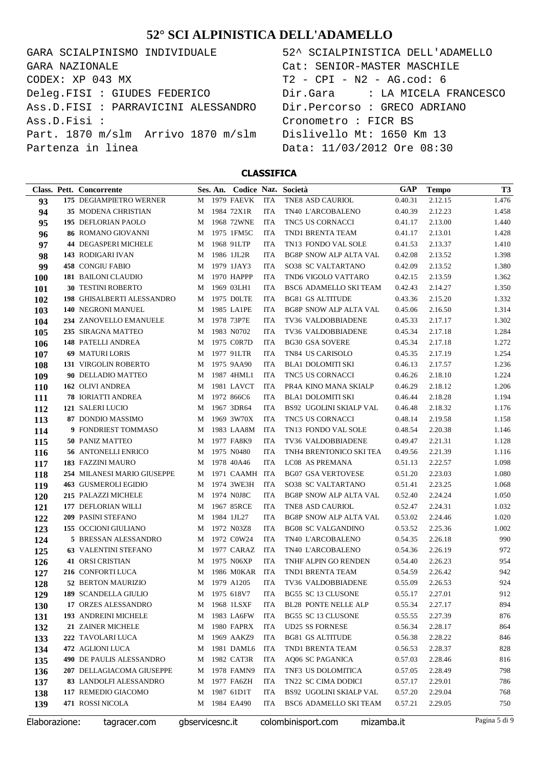GARA SCIALPINISMO INDIVIDUALE CODEX: XP 043 MX Deleg.FISI : GIUDES FEDERICO Ass.D.FISI : PARRAVICINI ALESSANDRO Ass.D.Fisi : Part. 1870 m/slm Arrivo 1870 m/slm Partenza in linea GARA NAZIONALE

| 52^ SCIALPINISTICA DELL'ADAMELLO |
|----------------------------------|
| Cat: SENIOR-MASTER MASCHILE      |
| T2 - CPI - N2 - AG.cod: 6        |
|                                  |
| Dir.Percorso : GRECO ADRIANO     |
| Cronometro : FICR BS             |
| Dislivello Mt: 1650 Km 13        |
| Data: 11/03/2012 Ore 08:30       |
|                                  |

|               | Class. Pett. Concorrente          |                 | Ses. An. |                |            | Codice Naz. Società            | GAP        | <b>Tempo</b> | <b>T3</b>     |
|---------------|-----------------------------------|-----------------|----------|----------------|------------|--------------------------------|------------|--------------|---------------|
| 93            | 175 DEGIAMPIETRO WERNER           | M               |          | 1979 FAEVK     | <b>ITA</b> | TNE8 ASD CAURIOL               | 0.40.31    | 2.12.15      | 1.476         |
| 94            | 35 MODENA CHRISTIAN               | M               |          | 1984 72X1R     | <b>ITA</b> | TN40 L'ARCOBALENO              | 0.40.39    | 2.12.23      | 1.458         |
| 95            | 195 DEFLORIAN PAOLO               | M               |          | 1968 72WNE     | <b>ITA</b> | <b>TNC5 US CORNACCI</b>        | 0.41.17    | 2.13.00      | 1.440         |
| 96            | <b>86 ROMANO GIOVANNI</b>         | M               |          | 1975 1FM5C     | <b>ITA</b> | TND1 BRENTA TEAM               | 0.41.17    | 2.13.01      | 1.428         |
| 97            | <b>44 DEGASPERI MICHELE</b>       | M               |          | 1968 91LTP     | <b>ITA</b> | TN13 FONDO VAL SOLE            | 0.41.53    | 2.13.37      | 1.410         |
| 98            | 143 RODIGARI IVAN                 | M               |          | 1986 1JL2R     | <b>ITA</b> | <b>BG8P SNOW ALP ALTA VAL</b>  | 0.42.08    | 2.13.52      | 1.398         |
| 99            | <b>458 CONGIU FABIO</b>           | M               |          | 1979 1JAY3     | <b>ITA</b> | <b>SO38 SC VALTARTANO</b>      | 0.42.09    | 2.13.52      | 1.380         |
| <b>100</b>    | <b>181 BAILONI CLAUDIO</b>        | M               |          | 1970 HAPPP     | <b>ITA</b> | TND6 VIGOLO VATTARO            | 0.42.15    | 2.13.59      | 1.362         |
| 101           | <b>30 TESTINI ROBERTO</b>         | M               |          | 1969 03LH1     | <b>ITA</b> | BSC6 ADAMELLO SKI TEAM         | 0.42.43    | 2.14.27      | 1.350         |
| 102           | <b>198 GHISALBERTI ALESSANDRO</b> | M               |          | 1975 DOLTE     | <b>ITA</b> | <b>BG81 GS ALTITUDE</b>        | 0.43.36    | 2.15.20      | 1.332         |
| 103           | 140 NEGRONI MANUEL                | M               |          | 1985 LA1PE     | <b>ITA</b> | <b>BG8P SNOW ALP ALTA VAL</b>  | 0.45.06    | 2.16.50      | 1.314         |
| 104           | 234 ZANOVELLO EMANUELE            | M               |          | 1978 73P7E     | <b>ITA</b> | TV36 VALDOBBIADENE             | 0.45.33    | 2.17.17      | 1.302         |
| 105           | 235 SIRAGNA MATTEO                | M               |          | 1983 N0702     | <b>ITA</b> | TV36 VALDOBBIADENE             | 0.45.34    | 2.17.18      | 1.284         |
| 106           | 148 PATELLI ANDREA                | M               |          | 1975 C0R7D     | <b>ITA</b> | <b>BG30 GSA SOVERE</b>         | 0.45.34    | 2.17.18      | 1.272         |
| 107           | <b>69 MATURI LORIS</b>            | M               |          | 1977 91LTR     | <b>ITA</b> | TN84 US CARISOLO               | 0.45.35    | 2.17.19      | 1.254         |
| 108           | 131 VIRGOLIN ROBERTO              | M               |          | 1975 9AA90     | <b>ITA</b> | <b>BLA1 DOLOMITI SKI</b>       | 0.46.13    | 2.17.57      | 1.236         |
| 109           | 90 DELLADIO MATTEO                | M               |          | 1987 4HML1     | <b>ITA</b> | <b>TNC5 US CORNACCI</b>        | 0.46.26    | 2.18.10      | 1.224         |
| <b>110</b>    | 162 OLIVI ANDREA                  | M               |          | 1981 LAVCT     | <b>ITA</b> | PR4A KINO MANA SKIALP          | 0.46.29    | 2.18.12      | 1.206         |
| 111           | <b>78 IORIATTI ANDREA</b>         | M               |          | 1972 866C6     | <b>ITA</b> | <b>BLA1 DOLOMITI SKI</b>       | 0.46.44    | 2.18.28      | 1.194         |
| 112           | 121 SALERI LUCIO                  | M               |          | 1967 3DR64     | <b>ITA</b> | BS92 UGOLINI SKIALP VAL        | 0.46.48    | 2.18.32      | 1.176         |
| 113           | 87 DONDIO MASSIMO                 | M               |          | 1969 3W70X     | <b>ITA</b> | <b>TNC5 US CORNACCI</b>        | 0.48.14    | 2.19.58      | 1.158         |
| 114           | 9 FONDRIEST TOMMASO               | M               |          | 1983 LAA8M     | <b>ITA</b> | TN13 FONDO VAL SOLE            | 0.48.54    | 2.20.38      | 1.146         |
| 115           | <b>50 PANIZ MATTEO</b>            | M               |          | 1977 FA8K9     | <b>ITA</b> | TV36 VALDOBBIADENE             | 0.49.47    | 2.21.31      | 1.128         |
| 116           | <b>56 ANTONELLI ENRICO</b>        | M               |          | 1975 N0480     | <b>ITA</b> | TNH4 BRENTONICO SKI TEA        | 0.49.56    | 2.21.39      | 1.116         |
| 117           | 183 FAZZINI MAURO                 | M               |          | 1978 40A46     | <b>ITA</b> | LC08 AS PREMANA                | 0.51.13    | 2.22.57      | 1.098         |
| 118           | 254 MILANESI MARIO GIUSEPPE       | M               |          | 1971 CAAMH ITA |            | <b>BG07 GSA VERTOVESE</b>      | 0.51.20    | 2.23.03      | 1.080         |
| 119           | <b>463 GUSMEROLI EGIDIO</b>       | M               |          | 1974 3WE3H     | <b>ITA</b> | <b>SO38 SC VALTARTANO</b>      | 0.51.41    | 2.23.25      | 1.068         |
| <b>120</b>    | 215 PALAZZI MICHELE               | M               |          | 1974 N0J8C     | <b>ITA</b> | <b>BG8P SNOW ALP ALTA VAL</b>  | 0.52.40    | 2.24.24      | 1.050         |
| 121           | 177 DEFLORIAN WILLI               | M               |          | 1967 85RCE     | <b>ITA</b> | TNE8 ASD CAURIOL               | 0.52.47    | 2.24.31      | 1.032         |
| 122           | 209 PASINI STEFANO                | M               |          | 1984 1JL27     | <b>ITA</b> | <b>BG8P SNOW ALP ALTA VAL</b>  | 0.53.02    | 2.24.46      | 1.020         |
| 123           | 155 OCCIONI GIULIANO              | M               |          | 1972 N03Z8     | <b>ITA</b> | <b>BG08 SC VALGANDINO</b>      | 0.53.52    | 2.25.36      | 1.002         |
| 124           | 5 BRESSAN ALESSANDRO              | M               |          | 1972 C0W24     | <b>ITA</b> | TN40 L'ARCOBALENO              | 0.54.35    | 2.26.18      | 990           |
| 125           | <b>63 VALENTINI STEFANO</b>       | M               |          | 1977 CARAZ     | <b>ITA</b> | TN40 L'ARCOBALENO              | 0.54.36    | 2.26.19      | 972           |
| 126           | <b>41 ORSI CRISTIAN</b>           | M               |          | 1975 N06XP     | <b>ITA</b> | TNHF ALPIN GO RENDEN           | 0.54.40    | 2.26.23      | 954           |
| 127           | 216 CONFORTI LUCA                 | M               |          | 1986 M0KAR     | ITA        | TND1 BRENTA TEAM               | 0.54.59    | 2.26.42      | 942           |
| 128           | 52 BERTON MAURIZIO                | M               |          | 1979 A1205     | <b>ITA</b> | TV36 VALDOBBIADENE             | 0.55.09    | 2.26.53      | 924           |
| 129           | 189 SCANDELLA GIULIO              | M               |          | 1975 618V7     | ITA        | BG55 SC 13 CLUSONE             | 0.55.17    | 2.27.01      | 912           |
| 130           | 17 ORZES ALESSANDRO               | M               |          | 1968 1LSXF     | ITA        | <b>BL28 PONTE NELLE ALP</b>    | 0.55.34    | 2.27.17      | 894           |
| 131           | 193 ANDREINI MICHELE              | M               |          | 1983 LA6FW     | ITA        | BG55 SC 13 CLUSONE             | 0.55.55    | 2.27.39      | 876           |
| 132           | 21 ZAINER MICHELE                 | М               |          | 1980 FAPRX     | ITA        | <b>UD25 SS FORNESE</b>         | 0.56.34    | 2.28.17      | 864           |
| 133           | 222 TAVOLARI LUCA                 | М               |          | 1969 AAKZ9     | ITA        | <b>BG81 GS ALTITUDE</b>        | 0.56.38    | 2.28.22      | 846           |
| 134           | 472 AGLIONI LUCA                  | M               |          | 1981 DAML6     | ITA        | TND1 BRENTA TEAM               | 0.56.53    | 2.28.37      | 828           |
| 135           | 490 DE PAULIS ALESSANDRO          | М               |          | 1982 CAT3R     | ITA        | AQ06 SC PAGANICA               | 0.57.03    | 2.28.46      | 816           |
| 136           | 207 DELLAGIACOMA GIUSEPPE         | М               |          | 1978 FAMN9     | ITA        | TNF3 US DOLOMITICA             | 0.57.05    | 2.28.49      | 798           |
| 137           | 83 LANDOLFI ALESSANDRO            | М               |          | 1977 FA6ZH     | ITA        | TN22 SC CIMA DODICI            | 0.57.17    | 2.29.01      | 786           |
| 138           | 117 REMEDIO GIACOMO               | М               |          | 1987 61D1T     | ITA        | <b>BS92 UGOLINI SKIALP VAL</b> | 0.57.20    | 2.29.04      | 768           |
| 139           | 471 ROSSI NICOLA                  | М               |          | 1984 EA490     | ITA        | BSC6 ADAMELLO SKI TEAM         | 0.57.21    | 2.29.05      | 750           |
| Elaborazione: | tagracer.com                      | gbservicesnc.it |          |                |            | colombinisport.com             | mizamba.it |              | Pagina 5 di 9 |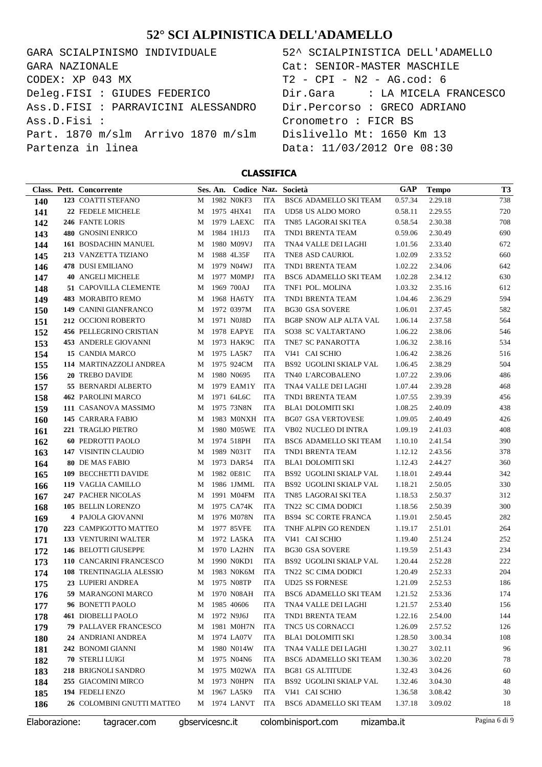GARA SCIALPINISMO INDIVIDUALE  $CODEX: XP 043 MX$ Deleg.FISI : GIUDES FEDERICO Ass.D.FISI : PARRAVICINI ALESSANDRO Ass.D.Fisi : Part. 1870 m/slm Arrivo 1870 m/slm Partenza in linea GARA NAZIONALE

| 52^ SCIALPINISTICA DELL'ADAMELLO |
|----------------------------------|
| Cat: SENIOR-MASTER MASCHILE      |
| T2 - CPI - N2 - AG.cod: 6        |
|                                  |
| Dir.Percorso : GRECO ADRIANO     |
| Cronometro : FICR BS             |
| Dislivello Mt: 1650 Km 13        |
| Data: 11/03/2012 Ore 08:30       |
|                                  |

|               | Class. Pett. Concorrente     |                 | Ses. An. Codice Naz. Società |            |                                | GAP        | <b>Tempo</b> | <b>T3</b>     |
|---------------|------------------------------|-----------------|------------------------------|------------|--------------------------------|------------|--------------|---------------|
| <b>140</b>    | 123 COATTI STEFANO           | M               | 1982 NOKF3                   | ITA        | BSC6 ADAMELLO SKI TEAM         | 0.57.34    | 2.29.18      | 738           |
| 141           | 22 FEDELE MICHELE            | M               | 1975 4HX41                   | ITA        | UD58 US ALDO MORO              | 0.58.11    | 2.29.55      | 720           |
| 142           | 246 FANTE LORIS              | M               | 1979 LAEXC                   | ITA        | TN85 LAGORAI SKI TEA           | 0.58.54    | 2.30.38      | 708           |
| 143           | 480 GNOSINI ENRICO           | M               | 1984 1H1J3                   | <b>ITA</b> | TND1 BRENTA TEAM               | 0.59.06    | 2.30.49      | 690           |
| 144           | 161 BOSDACHIN MANUEL         | M               | 1980 M09VJ                   | ITA        | TNA4 VALLE DEI LAGHI           | 1.01.56    | 2.33.40      | 672           |
| 145           | 213 VANZETTA TIZIANO         | M               | 1988 4L35F                   | ITA        | TNE8 ASD CAURIOL               | 1.02.09    | 2.33.52      | 660           |
| 146           | <b>478 DUSI EMILIANO</b>     | M               | 1979 N04WJ                   | ITA        | TND1 BRENTA TEAM               | 1.02.22    | 2.34.06      | 642           |
| 147           | <b>40 ANGELI MICHELE</b>     | M               | 1977 M0MPJ                   | ITA        | BSC6 ADAMELLO SKI TEAM         | 1.02.28    | 2.34.12      | 630           |
| 148           | <b>51 CAPOVILLA CLEMENTE</b> | M               | 1969 700AJ                   | ITA        | TNF1 POL. MOLINA               | 1.03.32    | 2.35.16      | 612           |
| 149           | 483 MORABITO REMO            | M               | 1968 HA6TY                   | ITA        | TND1 BRENTA TEAM               | 1.04.46    | 2.36.29      | 594           |
| 150           | 149 CANINI GIANFRANCO        | M               | 1972 0397M                   | ITA        | <b>BG30 GSA SOVERE</b>         | 1.06.01    | 2.37.45      | 582           |
| 151           | 212 OCCIONI ROBERTO          | M               | 1971 N0J8D                   | ITA        | <b>BG8P SNOW ALP ALTA VAL</b>  | 1.06.14    | 2.37.58      | 564           |
| 152           | 456 PELLEGRINO CRISTIAN      | M               | 1978 EAPYE                   | ITA        | SO38 SC VALTARTANO             | 1.06.22    | 2.38.06      | 546           |
| 153           | 453 ANDERLE GIOVANNI         | M               | 1973 HAK9C                   | ITA        | TNE7 SC PANAROTTA              | 1.06.32    | 2.38.16      | 534           |
| 154           | 15 CANDIA MARCO              | M               | 1975 LA5K7                   | ITA        | VI41 CAI SCHIO                 | 1.06.42    | 2.38.26      | 516           |
| 155           | 114 MARTINAZZOLI ANDREA      | M               | 1975 924CM                   | ITA        | <b>BS92 UGOLINI SKIALP VAL</b> | 1.06.45    | 2.38.29      | 504           |
| 156           | 20 TREBO DAVIDE              | M               | 1980 N0695                   | ITA        | TN40 L'ARCOBALENO              | 1.07.22    | 2.39.06      | 486           |
| 157           | 55 BERNARDI ALBERTO          | M               | 1979 EAM1Y                   | ITA        | TNA4 VALLE DEI LAGHI           | 1.07.44    | 2.39.28      | 468           |
| 158           | 462 PAROLINI MARCO           | M               | 1971 64L6C                   | ITA        | TND1 BRENTA TEAM               | 1.07.55    | 2.39.39      | 456           |
| 159           | 111 CASANOVA MASSIMO         | M               | 1975 73N8N                   | ITA        | BLA1 DOLOMITI SKI              | 1.08.25    | 2.40.09      | 438           |
| 160           | 145 CARRARA FABIO            | M               | 1983 M0NXH                   | ITA        | <b>BG07 GSA VERTOVESE</b>      | 1.09.05    | 2.40.49      | 426           |
| 161           | 221 TRAGLIO PIETRO           | M               | 1980 M05WE                   | ITA        | VB02 NUCLEO DI INTRA           | 1.09.19    | 2.41.03      | 408           |
| 162           | <b>60 PEDROTTI PAOLO</b>     | M               | 1974 518PH                   | ITA        | BSC6 ADAMELLO SKI TEAM         | 1.10.10    | 2.41.54      | 390           |
| 163           | 147 VISINTIN CLAUDIO         | M               | 1989 N031T                   | ITA        | TND1 BRENTA TEAM               | 1.12.12    | 2.43.56      | 378           |
| 164           | <b>80 DE MAS FABIO</b>       | M               | 1973 DAR54                   | ITA        | <b>BLA1 DOLOMITI SKI</b>       | 1.12.43    | 2.44.27      | 360           |
| 165           | 109 BECCHETTI DAVIDE         | M               | 1982 0E81C                   | ITA        | BS92 UGOLINI SKIALP VAL        | 1.18.01    | 2.49.44      | 342           |
| 166           | 119 VAGLIA CAMILLO           | M               | 1986 1JMML                   | ITA        | BS92 UGOLINI SKIALP VAL        | 1.18.21    | 2.50.05      | 330           |
| 167           | 247 PACHER NICOLAS           | M               | 1991 M04FM                   | ITA        | TN85 LAGORAI SKI TEA           | 1.18.53    | 2.50.37      | 312           |
| 168           | 105 BELLIN LORENZO           | M               | 1975 CA74K                   | ITA        | TN22 SC CIMA DODICI            | 1.18.56    | 2.50.39      | 300           |
| 169           | 4 PAJOLA GIOVANNI            | M               | 1976 M078N                   | ITA        | <b>BS94 SC CORTE FRANCA</b>    | 1.19.01    | 2.50.45      | 282           |
| 170           | 223 CAMPIGOTTO MATTEO        | M               | 1977 85VFE                   | ITA        | TNHF ALPIN GO RENDEN           | 1.19.17    | 2.51.01      | 264           |
| 171           | 133 VENTURINI WALTER         | M               | 1972 LA5KA                   | ITA        | VI41 CAI SCHIO                 | 1.19.40    | 2.51.24      | 252           |
| 172           | 146 BELOTTI GIUSEPPE         | M               | 1970 LA2HN                   | ITA        | <b>BG30 GSA SOVERE</b>         | 1.19.59    | 2.51.43      | 234           |
| 173           | 110 CANCARINI FRANCESCO      | M               | 1990 N0KD1                   | ITA        | BS92 UGOLINI SKIALP VAL        | 1.20.44    | 2.52.28      | 222           |
| 174           | 108 TRENTINAGLIA ALESSIO     | M               | 1983 NOK6M                   | ITA        | TN22 SC CIMA DODICI            | 1.20.49    | 2.52.33      | 204           |
| 175           | 23 LUPIERI ANDREA            | M               | 1975 N08TP                   | <b>ITA</b> | <b>UD25 SS FORNESE</b>         | 1.21.09    | 2.52.53      | 186           |
| 176           | 59 MARANGONI MARCO           | M               | 1970 N08AH                   | ITA        | BSC6 ADAMELLO SKI TEAM         | 1.21.52    | 2.53.36      | 174           |
| 177           | 96 BONETTI PAOLO             | M               | 1985 40606                   | ITA        | TNA4 VALLE DEI LAGHI           | 1.21.57    | 2.53.40      | 156           |
| 178           | <b>461 DIOBELLI PAOLO</b>    | M               | 1972 N9J6J                   | ITA        | TND1 BRENTA TEAM               | 1.22.16    | 2.54.00      | 144           |
| 179           | <b>79 PALLAVER FRANCESCO</b> | M               | 1981 M0H7N                   | ITA        | TNC5 US CORNACCI               | 1.26.09    | 2.57.52      | 126           |
| 180           | 24 ANDRIANI ANDREA           | M               | 1974 LA07V                   | ITA        | <b>BLA1 DOLOMITI SKI</b>       | 1.28.50    | 3.00.34      | 108           |
| 181           | 242 BONOMI GIANNI            | M               | 1980 N014W                   | ITA        | TNA4 VALLE DEI LAGHI           | 1.30.27    | 3.02.11      | 96            |
| 182           | 70 STERLI LUIGI              | M               | 1975 N04N6                   | ITA        | BSC6 ADAMELLO SKI TEAM         | 1.30.36    | 3.02.20      | 78            |
| 183           | 218 BRIGNOLI SANDRO          | M               | 1975 M02WA                   | ITA        | <b>BG81 GS ALTITUDE</b>        | 1.32.43    | 3.04.26      | 60            |
| 184           | 255 GIACOMINI MIRCO          | M               | 1973 NOHPN                   | ITA        | BS92 UGOLINI SKIALP VAL        | 1.32.46    | 3.04.30      | 48            |
| 185           | 194 FEDELI ENZO              | M               | 1967 LA5K9                   | ITA        | VI41 CAI SCHIO                 | 1.36.58    | 3.08.42      | 30            |
| 186           | 26 COLOMBINI GNUTTI MATTEO   | M               | 1974 LANVT                   | ITA        | BSC6 ADAMELLO SKI TEAM         | 1.37.18    | 3.09.02      | 18            |
| Elaborazione: | tagracer.com                 | gbservicesnc.it |                              |            | colombinisport.com             | mizamba.it |              | Pagina 6 di 9 |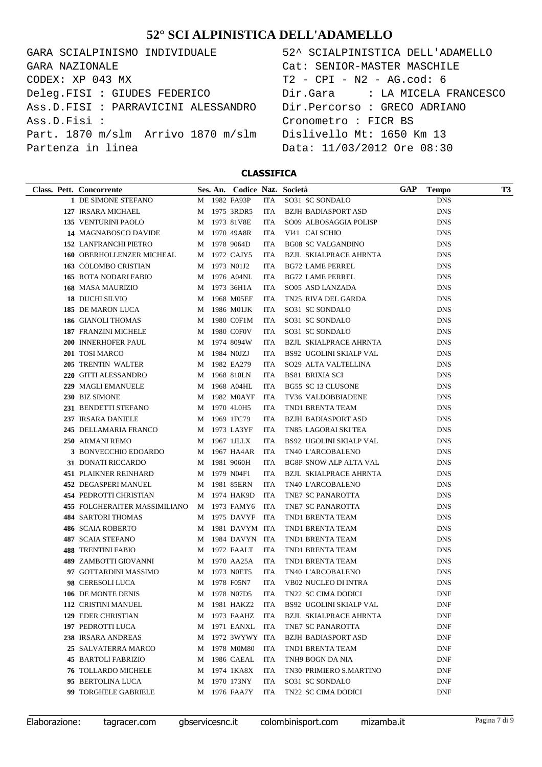GARA SCIALPINISMO INDIVIDUALE CODEX: XP 043 MX Deleg.FISI : GIUDES FEDERICO Ass.D.FISI : PARRAVICINI ALESSANDRO Ass.D.Fisi : Part. 1870 m/slm Arrivo 1870 m/slm Partenza in linea GARA NAZIONALE

| 52^ SCIALPINISTICA DELL'ADAMELLO |
|----------------------------------|
| Cat: SENIOR-MASTER MASCHILE      |
| T2 - CPI - N2 - AG.cod: 6        |
|                                  |
| Dir.Percorso : GRECO ADRIANO     |
| Cronometro : FICR BS             |
| Dislivello Mt: 1650 Km 13        |
| Data: 11/03/2012 Ore 08:30       |

| Class. Pett. Concorrente         |   | Ses. An. Codice Naz. Società |            |                                | GAP | <b>Tempo</b> | T3 |
|----------------------------------|---|------------------------------|------------|--------------------------------|-----|--------------|----|
| 1 DE SIMONE STEFANO              |   | M 1982 FA93P                 | <b>ITA</b> | SO31 SC SONDALO                |     | <b>DNS</b>   |    |
| 127 IRSARA MICHAEL               |   | M 1975 3RDR5                 | ITA        | BZJH BADIASPORT ASD            |     | <b>DNS</b>   |    |
| 135 VENTURINI PAOLO              | M | 1973 81V8E                   | ITA        | SO09 ALBOSAGGIA POLISP         |     | <b>DNS</b>   |    |
| 14 MAGNABOSCO DAVIDE             | M | 1970 49A8R                   | ITA        | VI41 CAI SCHIO                 |     | <b>DNS</b>   |    |
| <b>152 LANFRANCHI PIETRO</b>     | M | 1978 9064D                   | ITA        | <b>BG08 SC VALGANDINO</b>      |     | <b>DNS</b>   |    |
| <b>160 OBERHOLLENZER MICHEAL</b> | M | 1972 CAJY5                   | ITA        | <b>BZJL SKIALPRACE AHRNTA</b>  |     | <b>DNS</b>   |    |
| 163 COLOMBO CRISTIAN             | M | 1973 N01J2                   | ITA        | <b>BG72 LAME PERREL</b>        |     | <b>DNS</b>   |    |
| <b>165 ROTA NODARI FABIO</b>     | M | 1976 A04NL                   | ITA        | <b>BG72 LAME PERREL</b>        |     | <b>DNS</b>   |    |
| <b>168 MASA MAURIZIO</b>         | M | 1973 36H1A                   | ITA        | SO05 ASD LANZADA               |     | <b>DNS</b>   |    |
| 18 DUCHI SILVIO                  | M | 1968 M05EF                   | ITA        | TN25 RIVA DEL GARDA            |     | <b>DNS</b>   |    |
| 185 DE MARON LUCA                | M | 1986 M01JK                   | ITA        | SO31 SC SONDALO                |     | <b>DNS</b>   |    |
| 186 GIANOLI THOMAS               | M | 1980 C0F1M                   | ITA        | SO31 SC SONDALO                |     | <b>DNS</b>   |    |
| 187 FRANZINI MICHELE             | M | 1980 C0F0V                   | ITA        | SO31 SC SONDALO                |     | <b>DNS</b>   |    |
| 200 INNERHOFER PAUL              | M | 1974 8094W                   | ITA        | BZJL SKIALPRACE AHRNTA         |     | <b>DNS</b>   |    |
| 201 TOSI MARCO                   | M | 1984 NOJZJ                   | ITA        | BS92 UGOLINI SKIALP VAL        |     | <b>DNS</b>   |    |
| 205 TRENTIN WALTER               | M | 1982 EA279                   | ITA        | SO29 ALTA VALTELLINA           |     | <b>DNS</b>   |    |
| 220 GITTI ALESSANDRO             | M | 1968 810LN                   | ITA        | <b>BS81 BRIXIA SCI</b>         |     | <b>DNS</b>   |    |
| 229 MAGLI EMANUELE               | M | 1968 A04HL                   | ITA        | BG55 SC 13 CLUSONE             |     | <b>DNS</b>   |    |
| 230 BIZ SIMONE                   | M | 1982 M0AYF                   | ITA        | TV36 VALDOBBIADENE             |     | <b>DNS</b>   |    |
| 231 BENDETTI STEFANO             | M | 1970 4L0H5                   | ITA        | TND1 BRENTA TEAM               |     | <b>DNS</b>   |    |
| 237 IRSARA DANIELE               | M | 1969 1FC79                   | ITA        | BZJH BADIASPORT ASD            |     | <b>DNS</b>   |    |
| 245 DELLAMARIA FRANCO            | M | 1973 LA3YF                   | ITA        | TN85 LAGORAI SKI TEA           |     | <b>DNS</b>   |    |
| 250 ARMANI REMO                  | M | 1967 1JLLX                   | ITA        | BS92 UGOLINI SKIALP VAL        |     | <b>DNS</b>   |    |
| 3 BONVECCHIO EDOARDO             | M | 1967 HA4AR                   | ITA        | TN40 L'ARCOBALENO              |     | <b>DNS</b>   |    |
| 31 DONATI RICCARDO               | M | 1981 9060H                   | ITA        | BG8P SNOW ALP ALTA VAL         |     | <b>DNS</b>   |    |
| <b>451 PLAIKNER REINHARD</b>     | M | 1979 N04F1                   | ITA        | BZJL SKIALPRACE AHRNTA         |     | <b>DNS</b>   |    |
| 452 DEGASPERI MANUEL             | M | 1981 85ERN                   | ITA        | TN40 L'ARCOBALENO              |     | <b>DNS</b>   |    |
| 454 PEDROTTI CHRISTIAN           | М | 1974 HAK9D                   | ITA        | TNE7 SC PANAROTTA              |     | <b>DNS</b>   |    |
| 455 FOLGHERAITER MASSIMILIANO    |   | M 1973 FAMY6                 | ITA        | TNE7 SC PANAROTTA              |     | <b>DNS</b>   |    |
| <b>484 SARTORI THOMAS</b>        |   | M 1975 DAVYF                 | <b>ITA</b> | TND1 BRENTA TEAM               |     | <b>DNS</b>   |    |
| 486 SCAIA ROBERTO                | M | 1981 DAVYM ITA               |            | TND1 BRENTA TEAM               |     | <b>DNS</b>   |    |
| 487 SCAIA STEFANO                |   | M 1984 DAVYN                 | ITA        | TND1 BRENTA TEAM               |     | <b>DNS</b>   |    |
| <b>488 TRENTINI FABIO</b>        |   | M 1972 FAALT                 | ITA        | TND1 BRENTA TEAM               |     | <b>DNS</b>   |    |
| <b>489 ZAMBOTTI GIOVANNI</b>     |   | M 1970 AA25A                 | ITA        | TND1 BRENTA TEAM               |     | <b>DNS</b>   |    |
| 97 GOTTARDINI MASSIMO            |   | M 1973 NOET5                 | ITA        | TN40 L'ARCOBALENO              |     | <b>DNS</b>   |    |
| 98 CERESOLI LUCA                 |   | M 1978 F05N7                 | <b>ITA</b> | <b>VB02 NUCLEO DI INTRA</b>    |     | <b>DNS</b>   |    |
| 106 DE MONTE DENIS               | M | 1978 N07D5                   | ITA        | TN22 SC CIMA DODICI            |     | DNF          |    |
| 112 CRISTINI MANUEL              | M | 1981 HAKZ2                   | ITA        | <b>BS92 UGOLINI SKIALP VAL</b> |     | DNF          |    |
| 129 EDER CHRISTIAN               | М | 1973 FAAHZ                   | ITA        | <b>BZJL SKIALPRACE AHRNTA</b>  |     | <b>DNF</b>   |    |
| 197 PEDROTTI LUCA                | M | 1971 EANXL                   | <b>ITA</b> | TNE7 SC PANAROTTA              |     | <b>DNF</b>   |    |
| 238 IRSARA ANDREAS               | M | 1972 3WYWY ITA               |            | <b>BZJH BADIASPORT ASD</b>     |     | DNF          |    |
| 25 SALVATERRA MARCO              | M | 1978 M0M80                   | ITA        | TND1 BRENTA TEAM               |     | DNF          |    |
| <b>45 BARTOLI FABRIZIO</b>       | M | 1986 CAEAL                   | ITA        | TNH9 BOGN DA NIA               |     | DNF          |    |
| <b>76 TOLLARDO MICHELE</b>       | M | 1974 1KA8X                   | ITA        | <b>TN30 PRIMIERO S.MARTINO</b> |     | <b>DNF</b>   |    |
| 95 BERTOLINA LUCA                | M | 1970 173NY                   | ITA        | SO31 SC SONDALO                |     | <b>DNF</b>   |    |
| 99 TORGHELE GABRIELE             | M | 1976 FAA7Y                   | ITA        | TN22 SC CIMA DODICI            |     | <b>DNF</b>   |    |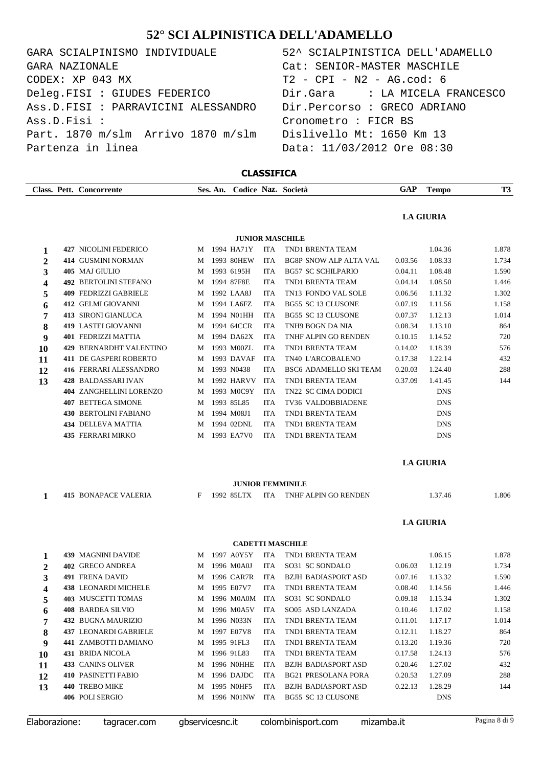| GARA SCIALPINISMO INDIVIDUALE       |  |  |  |  |  |  |  |  |  |  |  |
|-------------------------------------|--|--|--|--|--|--|--|--|--|--|--|
| GARA NAZIONALE                      |  |  |  |  |  |  |  |  |  |  |  |
| CODEX: XP 043 MX                    |  |  |  |  |  |  |  |  |  |  |  |
| Deleg.FISI : GIUDES FEDERICO        |  |  |  |  |  |  |  |  |  |  |  |
| Ass.D.FISI : PARRAVICINI ALESSANDRO |  |  |  |  |  |  |  |  |  |  |  |
| Ass.D.Fisi:                         |  |  |  |  |  |  |  |  |  |  |  |
| Part. 1870 m/slm Arrivo 1870 m/slm  |  |  |  |  |  |  |  |  |  |  |  |
| Partenza in linea                   |  |  |  |  |  |  |  |  |  |  |  |

## 52^ SCIALPINISTICA DELL'ADAMELLO  $T2 - CPI - N2 - AG.cod: 6$ Dir.Gara : LA MICELA FRANCESCO Dir.Percorso : GRECO ADRIANO Cronometro : FICR BS Dislivello Mt: 1650 Km 13 Data: 11/03/2012 Ore 08:30 Cat: SENIOR-MASTER MASCHILE

#### **CLASSIFICA**

|              | Class. Pett. Concorrente       |   | Ses. An. |            |            | Codice Naz. Società           | <b>GAP</b> | <b>Tempo</b>     | T <sub>3</sub> |
|--------------|--------------------------------|---|----------|------------|------------|-------------------------------|------------|------------------|----------------|
|              |                                |   |          |            |            |                               |            | <b>LA GIURIA</b> |                |
|              |                                |   |          |            |            | <b>JUNIOR MASCHILE</b>        |            |                  |                |
| 1            | <b>427 NICOLINI FEDERICO</b>   | М |          | 1994 HA71Y | <b>ITA</b> | TND1 BRENTA TEAM              |            | 1.04.36          | 1.878          |
| $\mathbf{2}$ | <b>414 GUSMINI NORMAN</b>      | M |          | 1993 80HEW | <b>ITA</b> | <b>BG8P SNOW ALP ALTA VAL</b> | 0.03.56    | 1.08.33          | 1.734          |
| 3            | 405 MAJ GIULIO                 | M |          | 1993 6195H | <b>ITA</b> | <b>BG57 SC SCHILPARIO</b>     | 0.04.11    | 1.08.48          | 1.590          |
| 4            | <b>492 BERTOLINI STEFANO</b>   | M |          | 1994 87F8E | <b>ITA</b> | TND1 BRENTA TEAM              | 0.04.14    | 1.08.50          | 1.446          |
| 5            | <b>409 FEDRIZZI GABRIELE</b>   | M |          | 1992 LAA8J | <b>ITA</b> | TN13 FONDO VAL SOLE           | 0.06.56    | 1.11.32          | 1.302          |
| 6            | <b>412 GELMI GIOVANNI</b>      | M |          | 1994 LA6FZ | <b>ITA</b> | <b>BG55 SC 13 CLUSONE</b>     | 0.07.19    | 1.11.56          | 1.158          |
| 7            | <b>413 SIRONI GIANLUCA</b>     | M |          | 1994 N01HH | <b>ITA</b> | <b>BG55 SC 13 CLUSONE</b>     | 0.07.37    | 1.12.13          | 1.014          |
| 8            | <b>419 LASTEI GIOVANNI</b>     | M |          | 1994 64CCR | <b>ITA</b> | TNH9 BOGN DA NIA              | 0.08.34    | 1.13.10          | 864            |
| 9            | <b>401 FEDRIZZI MATTIA</b>     | M |          | 1994 DA62X | <b>ITA</b> | TNHF ALPIN GO RENDEN          | 0.10.15    | 1.14.52          | 720            |
| 10           | 429 BERNARDHT VALENTINO        | M |          | 1993 M00ZL | <b>ITA</b> | TND1 BRENTA TEAM              | 0.14.02    | 1.18.39          | 576            |
| 11           | 411 DE GASPERI ROBERTO         | M |          | 1993 DAVAF | <b>ITA</b> | TN40 L'ARCOBALENO             | 0.17.38    | 1.22.14          | 432            |
| 12           | 416 FERRARI ALESSANDRO         | M |          | 1993 N0438 | <b>ITA</b> | <b>BSC6 ADAMELLO SKI TEAM</b> | 0.20.03    | 1.24.40          | 288            |
| 13           | 428 BALDASSARI IVAN            | M |          | 1992 HARVV | <b>ITA</b> | TND1 BRENTA TEAM              | 0.37.09    | 1.41.45          | 144            |
|              | <b>404 ZANGHELLINI LORENZO</b> | M |          | 1993 M0C9Y | <b>ITA</b> | TN22 SC CIMA DODICI           |            | <b>DNS</b>       |                |
|              | <b>407 BETTEGA SIMONE</b>      | M |          | 1993 85L85 | <b>ITA</b> | TV36 VALDOBBIADENE            |            | <b>DNS</b>       |                |
|              | <b>430 BERTOLINI FABIANO</b>   | M |          | 1994 M08J1 | <b>ITA</b> | TND1 BRENTA TEAM              |            | <b>DNS</b>       |                |
|              | <b>434 DELLEVA MATTIA</b>      | M |          | 1994 02DNL | <b>ITA</b> | TND1 BRENTA TEAM              |            | <b>DNS</b>       |                |
|              | <b>435 FERRARI MIRKO</b>       | M |          | 1993 EA7V0 | <b>ITA</b> | TND1 BRENTA TEAM              |            | <b>DNS</b>       |                |
|              |                                |   |          |            |            |                               |            | <b>LA GIURIA</b> |                |
|              |                                |   |          |            |            | <b>JUNIOR FEMMINILE</b>       |            |                  |                |
| $\mathbf{1}$ | <b>415 BONAPACE VALERIA</b>    | F |          | 1992 85LTX | ITA        | TNHF ALPIN GO RENDEN          |            | 1.37.46          | 1.806          |
|              |                                |   |          |            |            |                               |            | <b>LA GIURIA</b> |                |
|              |                                |   |          |            |            | <b>CADETTI MASCHILE</b>       |            |                  |                |
| 1            | <b>439 MAGNINI DAVIDE</b>      | M |          | 1997 A0Y5Y | <b>ITA</b> | TND1 BRENTA TEAM              |            | 1.06.15          | 1.878          |
| $\mathbf{2}$ | 402 GRECO ANDREA               | М |          | 1996 M0A0J | <b>ITA</b> | SO31 SC SONDALO               | 0.06.03    | 1.12.19          | 1.734          |
| 3            | <b>491 FRENA DAVID</b>         | M |          | 1996 CAR7R | <b>ITA</b> | <b>BZJH BADIASPORT ASD</b>    | 0.07.16    | 1.13.32          | 1.590          |
| 4            | <b>438 LEONARDI MICHELE</b>    | М |          | 1995 E07V7 | <b>ITA</b> | TND1 BRENTA TEAM              | 0.08.40    | 1.14.56          | 1.446          |
| 5            | 403 MUSCETTI TOMAS             | M |          | 1996 M0A0M | ITA        | SO31 SC SONDALO               | 0.09.18    | 1.15.34          | 1.302          |
| 6            | <b>408 BARDEA SILVIO</b>       | M |          | 1996 M0A5V | ITA        | SO05 ASD LANZADA              | 0.10.46    | 1.17.02          | 1.158          |
| 7            | 432 BUGNA MAURIZIO             | M |          | 1996 N033N | ITA        | TND1 BRENTA TEAM              | 0.11.01    | 1.17.17          | 1.014          |
| 8            | 437 LEONARDI GABRIELE          | M |          | 1997 E07V8 | ITA        | TND1 BRENTA TEAM              | 0.12.11    | 1.18.27          | 864            |
| 9            | 441 ZAMBOTTI DAMIANO           | M |          | 1995 91FL3 | ITA        | TND1 BRENTA TEAM              | 0.13.20    | 1.19.36          | 720            |
| 10           | 431 BRIDA NICOLA               | M |          | 1996 91L83 | <b>ITA</b> | TND1 BRENTA TEAM              | 0.17.58    | 1.24.13          | 576            |
| 11           | <b>433 CANINS OLIVER</b>       | M |          | 1996 N0HHE | ITA        | BZJH BADIASPORT ASD           | 0.20.46    | 1.27.02          | 432            |
| 12           | 410 PASINETTI FABIO            | M |          | 1996 DAJDC | ITA        | <b>BG21 PRESOLANA PORA</b>    | 0.20.53    | 1.27.09          | 288            |
| 13           | 440 TREBO MIKE                 | M |          | 1995 NOHF5 | ITA        | <b>BZJH BADIASPORT ASD</b>    | 0.22.13    | 1.28.29          | 144            |
|              | 406 POLI SERGIO                | M |          | 1996 N01NW | ITA        | BG55 SC 13 CLUSONE            |            | <b>DNS</b>       |                |

Elaborazione: tagracer.com gbservicesnc.it colombinisport.com mizamba.it Pagina 8 di 9